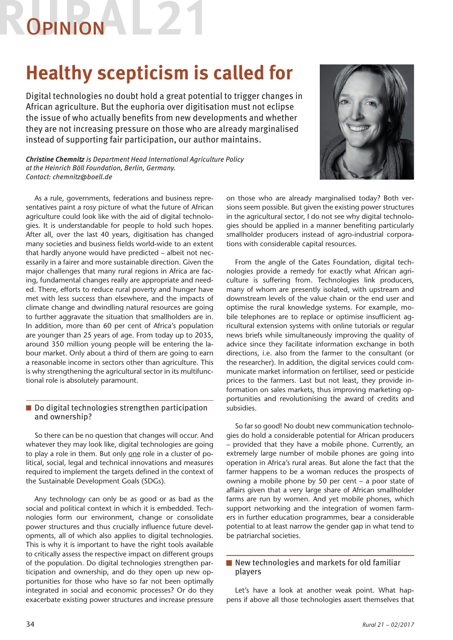# **OPINION**

# **Healthy scepticism is called for**

Digital technologies no doubt hold a great potential to trigger changes in African agriculture. But the euphoria over digitisation must not eclipse the issue of who actually benefits from new developments and whether they are not increasing pressure on those who are already marginalised instead of supporting fair participation, our author maintains.

*Christine Chemnitz is Department Head International Agriculture Policy at the Heinrich Böll Foundation, Berlin, Germany. Contact: chemnitz@boell.de*



As a rule, governments, federations and business representatives paint a rosy picture of what the future of African agriculture could look like with the aid of digital technologies. It is understandable for people to hold such hopes. After all, over the last 40 years, digitisation has changed many societies and business fields world-wide to an extent that hardly anyone would have predicted – albeit not necessarily in a fairer and more sustainable direction. Given the major challenges that many rural regions in Africa are facing, fundamental changes really are appropriate and needed. There, efforts to reduce rural poverty and hunger have met with less success than elsewhere, and the impacts of climate change and dwindling natural resources are going to further aggravate the situation that smallholders are in. In addition, more than 60 per cent of Africa's population are younger than 25 years of age. From today up to 2035, around 350 million young people will be entering the labour market. Only about a third of them are going to earn a reasonable income in sectors other than agriculture. This is why strengthening the agricultural sector in its multifunctional role is absolutely paramount.

## Do digital technologies strengthen participation and ownership?

So there can be no question that changes will occur. And whatever they may look like, digital technologies are going to play a role in them. But only one role in a cluster of political, social, legal and technical innovations and measures required to implement the targets defined in the context of the Sustainable Development Goals (SDGs).

Any technology can only be as good or as bad as the social and political context in which it is embedded. Technologies form our environment, change or consolidate power structures and thus crucially influence future developments, all of which also applies to digital technologies. This is why it is important to have the right tools available to critically assess the respective impact on different groups of the population. Do digital technologies strengthen participation and ownership, and do they open up new opportunities for those who have so far not been optimally integrated in social and economic processes? Or do they exacerbate existing power structures and increase pressure

on those who are already marginalised today? Both versions seem possible. But given the existing power structures in the agricultural sector, I do not see why digital technologies should be applied in a manner benefiting particularly smallholder producers instead of agro-industrial corporations with considerable capital resources.

From the angle of the Gates Foundation, digital technologies provide a remedy for exactly what African agriculture is suffering from. Technologies link producers, many of whom are presently isolated, with upstream and downstream levels of the value chain or the end user and optimise the rural knowledge systems. For example, mobile telephones are to replace or optimise insufficient agricultural extension systems with online tutorials or regular news briefs while simultaneously improving the quality of advice since they facilitate information exchange in both directions, i.e. also from the farmer to the consultant (or the researcher). In addition, the digital services could communicate market information on fertiliser, seed or pesticide prices to the farmers. Last but not least, they provide information on sales markets, thus improving marketing opportunities and revolutionising the award of credits and subsidies.

So far so good! No doubt new communication technologies do hold a considerable potential for African producers – provided that they have a mobile phone. Currently, an extremely large number of mobile phones are going into operation in Africa's rural areas. But alone the fact that the farmer happens to be a woman reduces the prospects of owning a mobile phone by 50 per cent – a poor state of affairs given that a very large share of African smallholder farms are run by women. And yet mobile phones, which support networking and the integration of women farmers in further education programmes, bear a considerable potential to at least narrow the gender gap in what tend to be patriarchal societies.

## ■ New technologies and markets for old familiar players

Let's have a look at another weak point. What happens if above all those technologies assert themselves that